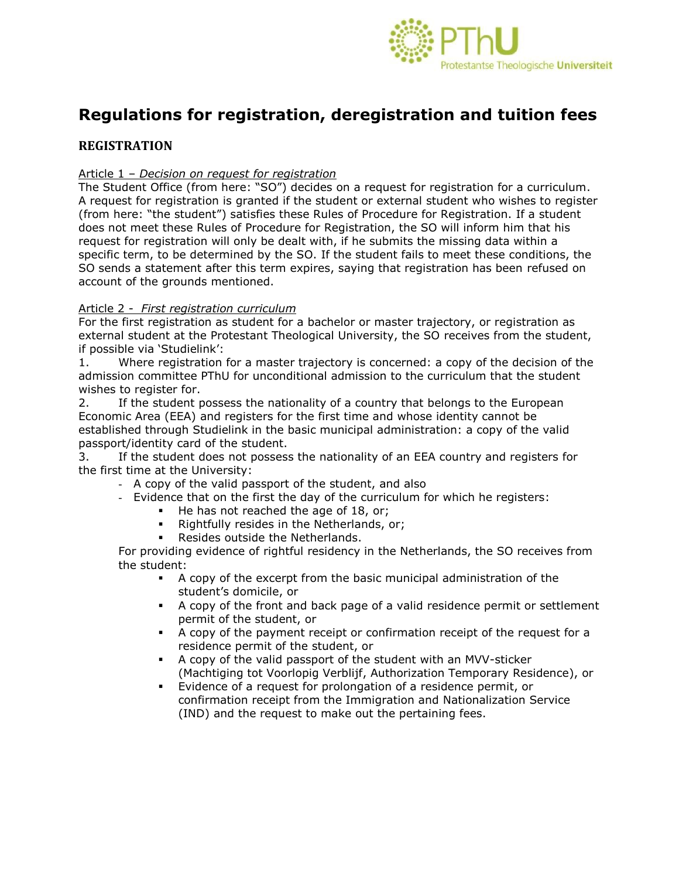

# **Regulations for registration, deregistration and tuition fees**

# **REGISTRATION**

#### Article 1 – *Decision on request for registration*

The Student Office (from here: "SO") decides on a request for registration for a curriculum. A request for registration is granted if the student or external student who wishes to register (from here: "the student") satisfies these Rules of Procedure for Registration. If a student does not meet these Rules of Procedure for Registration, the SO will inform him that his request for registration will only be dealt with, if he submits the missing data within a specific term, to be determined by the SO. If the student fails to meet these conditions, the SO sends a statement after this term expires, saying that registration has been refused on account of the grounds mentioned.

#### Article 2 - *First registration curriculum*

For the first registration as student for a bachelor or master trajectory, or registration as external student at the Protestant Theological University, the SO receives from the student, if possible via 'Studielink':

1. Where registration for a master trajectory is concerned: a copy of the decision of the admission committee PThU for unconditional admission to the curriculum that the student wishes to register for.

2. If the student possess the nationality of a country that belongs to the European Economic Area (EEA) and registers for the first time and whose identity cannot be established through Studielink in the basic municipal administration: a copy of the valid passport/identity card of the student.

3. If the student does not possess the nationality of an EEA country and registers for the first time at the University:

- A copy of the valid passport of the student, and also
- Evidence that on the first the day of the curriculum for which he registers:
	- $\blacksquare$  He has not reached the age of 18, or;
	- **Rightfully resides in the Netherlands, or;**
	- **Resides outside the Netherlands.**

For providing evidence of rightful residency in the Netherlands, the SO receives from the student:

- A copy of the excerpt from the basic municipal administration of the student's domicile, or
- A copy of the front and back page of a valid residence permit or settlement permit of the student, or
- A copy of the payment receipt or confirmation receipt of the request for a residence permit of the student, or
- A copy of the valid passport of the student with an MVV-sticker (Machtiging tot Voorlopig Verblijf, Authorization Temporary Residence), or
- Evidence of a request for prolongation of a residence permit, or confirmation receipt from the Immigration and Nationalization Service (IND) and the request to make out the pertaining fees.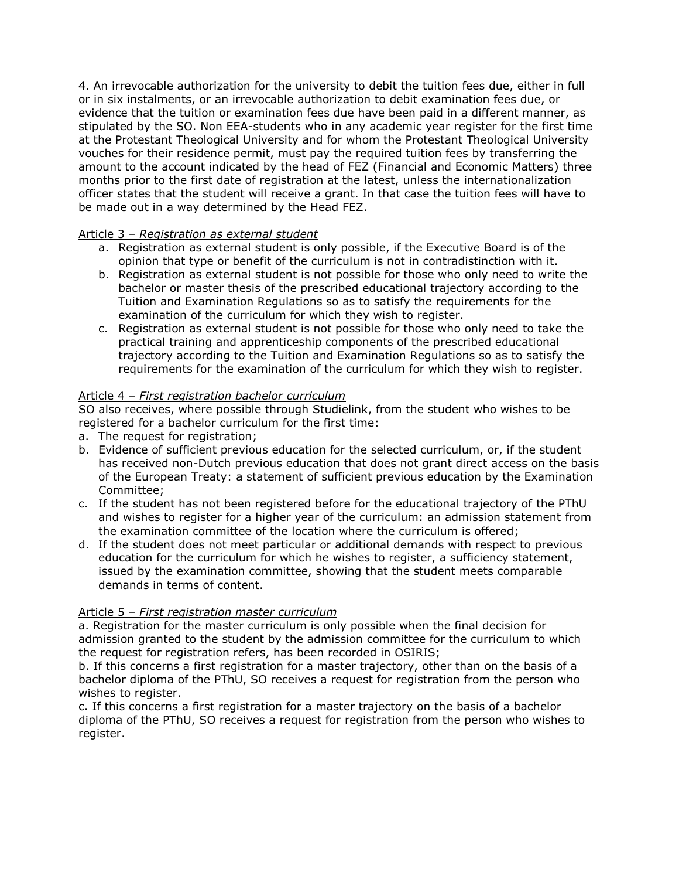4. An irrevocable authorization for the university to debit the tuition fees due, either in full or in six instalments, or an irrevocable authorization to debit examination fees due, or evidence that the tuition or examination fees due have been paid in a different manner, as stipulated by the SO. Non EEA-students who in any academic year register for the first time at the Protestant Theological University and for whom the Protestant Theological University vouches for their residence permit, must pay the required tuition fees by transferring the amount to the account indicated by the head of FEZ (Financial and Economic Matters) three months prior to the first date of registration at the latest, unless the internationalization officer states that the student will receive a grant. In that case the tuition fees will have to be made out in a way determined by the Head FEZ.

#### Article 3 – *Registration as external student*

- a. Registration as external student is only possible, if the Executive Board is of the opinion that type or benefit of the curriculum is not in contradistinction with it.
- b. Registration as external student is not possible for those who only need to write the bachelor or master thesis of the prescribed educational trajectory according to the Tuition and Examination Regulations so as to satisfy the requirements for the examination of the curriculum for which they wish to register.
- c. Registration as external student is not possible for those who only need to take the practical training and apprenticeship components of the prescribed educational trajectory according to the Tuition and Examination Regulations so as to satisfy the requirements for the examination of the curriculum for which they wish to register.

## Article 4 – *First registration bachelor curriculum*

SO also receives, where possible through Studielink, from the student who wishes to be registered for a bachelor curriculum for the first time:

- a. The request for registration;
- b. Evidence of sufficient previous education for the selected curriculum, or, if the student has received non-Dutch previous education that does not grant direct access on the basis of the European Treaty: a statement of sufficient previous education by the Examination Committee;
- c. If the student has not been registered before for the educational trajectory of the PThU and wishes to register for a higher year of the curriculum: an admission statement from the examination committee of the location where the curriculum is offered;
- d. If the student does not meet particular or additional demands with respect to previous education for the curriculum for which he wishes to register, a sufficiency statement, issued by the examination committee, showing that the student meets comparable demands in terms of content.

#### Article 5 – *First registration master curriculum*

a. Registration for the master curriculum is only possible when the final decision for admission granted to the student by the admission committee for the curriculum to which the request for registration refers, has been recorded in OSIRIS;

b. If this concerns a first registration for a master trajectory, other than on the basis of a bachelor diploma of the PThU, SO receives a request for registration from the person who wishes to register.

c. If this concerns a first registration for a master trajectory on the basis of a bachelor diploma of the PThU, SO receives a request for registration from the person who wishes to register.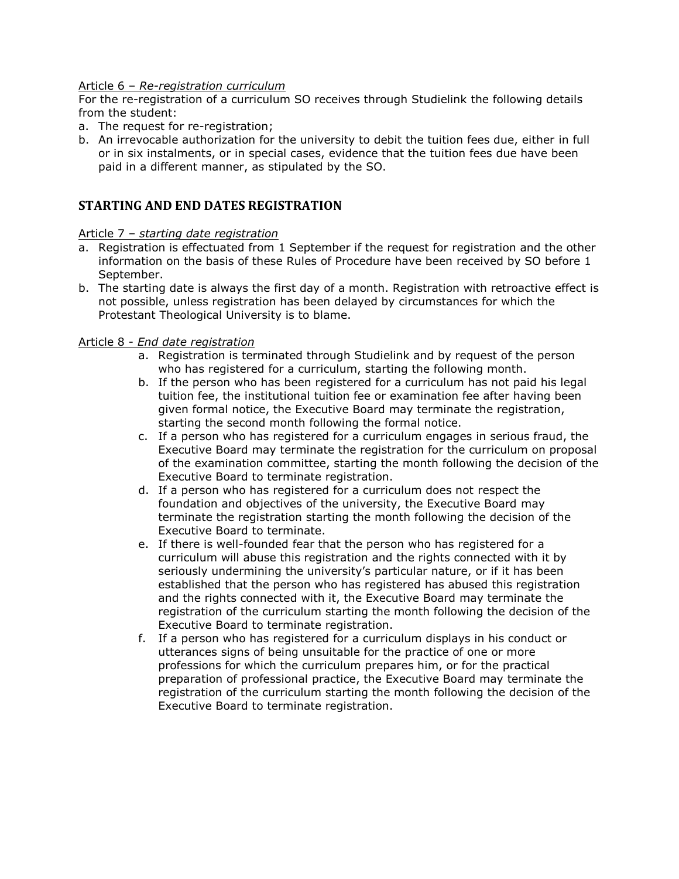#### Article 6 – *Re-registration curriculum*

For the re-registration of a curriculum SO receives through Studielink the following details from the student:

- a. The request for re-registration;
- b. An irrevocable authorization for the university to debit the tuition fees due, either in full or in six instalments, or in special cases, evidence that the tuition fees due have been paid in a different manner, as stipulated by the SO.

#### **STARTING AND END DATES REGISTRATION**

#### Article 7 – *starting date registration*

- a. Registration is effectuated from 1 September if the request for registration and the other information on the basis of these Rules of Procedure have been received by SO before 1 September.
- b. The starting date is always the first day of a month. Registration with retroactive effect is not possible, unless registration has been delayed by circumstances for which the Protestant Theological University is to blame.

#### Article 8 - *End date registration*

- a. Registration is terminated through Studielink and by request of the person who has registered for a curriculum, starting the following month.
- b. If the person who has been registered for a curriculum has not paid his legal tuition fee, the institutional tuition fee or examination fee after having been given formal notice, the Executive Board may terminate the registration, starting the second month following the formal notice.
- c. If a person who has registered for a curriculum engages in serious fraud, the Executive Board may terminate the registration for the curriculum on proposal of the examination committee, starting the month following the decision of the Executive Board to terminate registration.
- d. If a person who has registered for a curriculum does not respect the foundation and objectives of the university, the Executive Board may terminate the registration starting the month following the decision of the Executive Board to terminate.
- e. If there is well-founded fear that the person who has registered for a curriculum will abuse this registration and the rights connected with it by seriously undermining the university's particular nature, or if it has been established that the person who has registered has abused this registration and the rights connected with it, the Executive Board may terminate the registration of the curriculum starting the month following the decision of the Executive Board to terminate registration.
- f. If a person who has registered for a curriculum displays in his conduct or utterances signs of being unsuitable for the practice of one or more professions for which the curriculum prepares him, or for the practical preparation of professional practice, the Executive Board may terminate the registration of the curriculum starting the month following the decision of the Executive Board to terminate registration.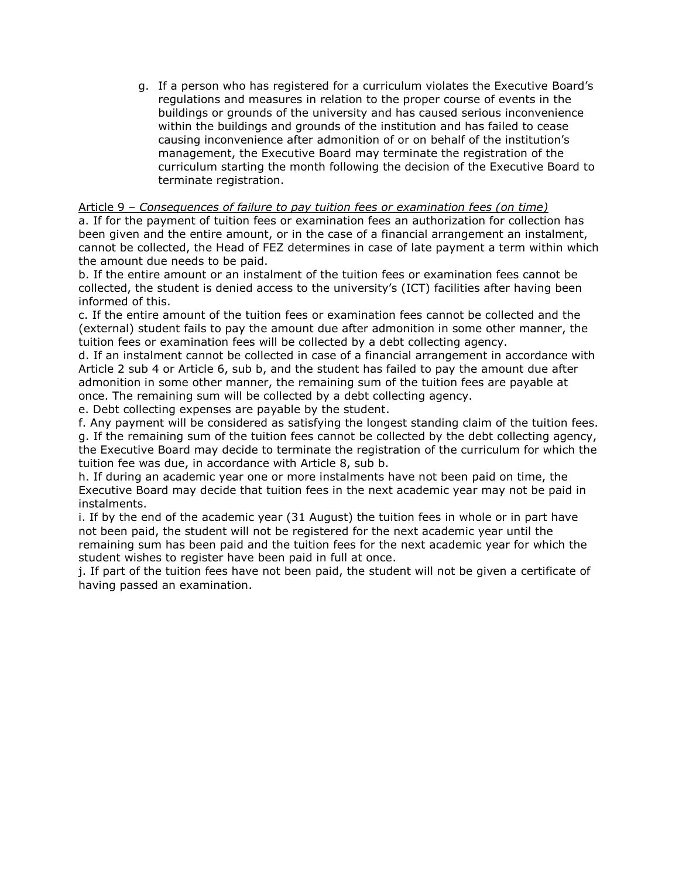g. If a person who has registered for a curriculum violates the Executive Board's regulations and measures in relation to the proper course of events in the buildings or grounds of the university and has caused serious inconvenience within the buildings and grounds of the institution and has failed to cease causing inconvenience after admonition of or on behalf of the institution's management, the Executive Board may terminate the registration of the curriculum starting the month following the decision of the Executive Board to terminate registration.

#### Article 9 – *Consequences of failure to pay tuition fees or examination fees (on time)*

a. If for the payment of tuition fees or examination fees an authorization for collection has been given and the entire amount, or in the case of a financial arrangement an instalment, cannot be collected, the Head of FEZ determines in case of late payment a term within which the amount due needs to be paid.

b. If the entire amount or an instalment of the tuition fees or examination fees cannot be collected, the student is denied access to the university's (ICT) facilities after having been informed of this.

c. If the entire amount of the tuition fees or examination fees cannot be collected and the (external) student fails to pay the amount due after admonition in some other manner, the tuition fees or examination fees will be collected by a debt collecting agency.

d. If an instalment cannot be collected in case of a financial arrangement in accordance with Article 2 sub 4 or Article 6, sub b, and the student has failed to pay the amount due after admonition in some other manner, the remaining sum of the tuition fees are payable at once. The remaining sum will be collected by a debt collecting agency.

e. Debt collecting expenses are payable by the student.

f. Any payment will be considered as satisfying the longest standing claim of the tuition fees. g. If the remaining sum of the tuition fees cannot be collected by the debt collecting agency, the Executive Board may decide to terminate the registration of the curriculum for which the tuition fee was due, in accordance with Article 8, sub b.

h. If during an academic year one or more instalments have not been paid on time, the Executive Board may decide that tuition fees in the next academic year may not be paid in instalments.

i. If by the end of the academic year (31 August) the tuition fees in whole or in part have not been paid, the student will not be registered for the next academic year until the remaining sum has been paid and the tuition fees for the next academic year for which the student wishes to register have been paid in full at once.

j. If part of the tuition fees have not been paid, the student will not be given a certificate of having passed an examination.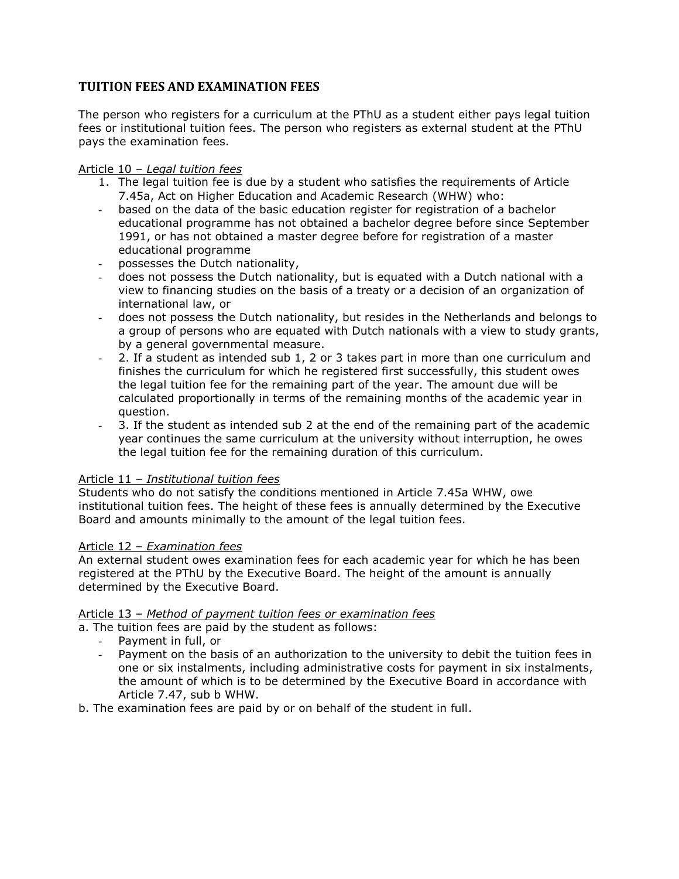## **TUITION FEES AND EXAMINATION FEES**

The person who registers for a curriculum at the PThU as a student either pays legal tuition fees or institutional tuition fees. The person who registers as external student at the PThU pays the examination fees.

#### Article 10 – *Legal tuition fees*

- 1. The legal tuition fee is due by a student who satisfies the requirements of Article 7.45a, Act on Higher Education and Academic Research (WHW) who:
- based on the data of the basic education register for registration of a bachelor educational programme has not obtained a bachelor degree before since September 1991, or has not obtained a master degree before for registration of a master educational programme
- possesses the Dutch nationality,
- does not possess the Dutch nationality, but is equated with a Dutch national with a view to financing studies on the basis of a treaty or a decision of an organization of international law, or
- does not possess the Dutch nationality, but resides in the Netherlands and belongs to a group of persons who are equated with Dutch nationals with a view to study grants, by a general governmental measure.
- 2. If a student as intended sub 1, 2 or 3 takes part in more than one curriculum and finishes the curriculum for which he registered first successfully, this student owes the legal tuition fee for the remaining part of the year. The amount due will be calculated proportionally in terms of the remaining months of the academic year in question.
- 3. If the student as intended sub 2 at the end of the remaining part of the academic year continues the same curriculum at the university without interruption, he owes the legal tuition fee for the remaining duration of this curriculum.

## Article 11 – *Institutional tuition fees*

Students who do not satisfy the conditions mentioned in Article 7.45a WHW, owe institutional tuition fees. The height of these fees is annually determined by the Executive Board and amounts minimally to the amount of the legal tuition fees.

#### Article 12 – *Examination fees*

An external student owes examination fees for each academic year for which he has been registered at the PThU by the Executive Board. The height of the amount is annually determined by the Executive Board.

#### Article 13 – *Method of payment tuition fees or examination fees*

a. The tuition fees are paid by the student as follows:

- Payment in full, or
- Payment on the basis of an authorization to the university to debit the tuition fees in one or six instalments, including administrative costs for payment in six instalments, the amount of which is to be determined by the Executive Board in accordance with Article 7.47, sub b WHW.
- b. The examination fees are paid by or on behalf of the student in full.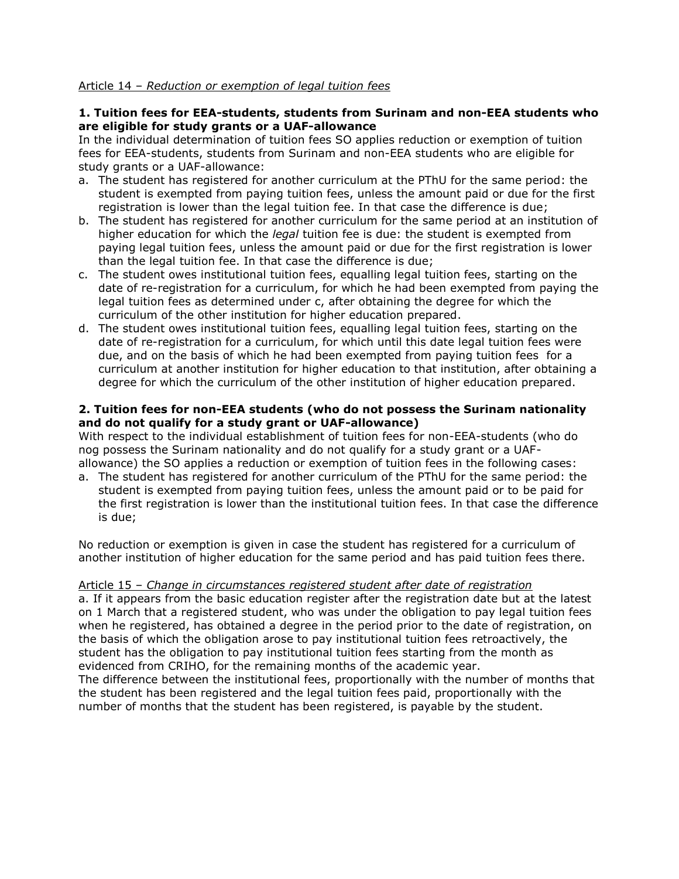#### Article 14 – *Reduction or exemption of legal tuition fees*

#### **1. Tuition fees for EEA-students, students from Surinam and non-EEA students who are eligible for study grants or a UAF-allowance**

In the individual determination of tuition fees SO applies reduction or exemption of tuition fees for EEA-students, students from Surinam and non-EEA students who are eligible for study grants or a UAF-allowance:

- a. The student has registered for another curriculum at the PThU for the same period: the student is exempted from paying tuition fees, unless the amount paid or due for the first registration is lower than the legal tuition fee. In that case the difference is due;
- b. The student has registered for another curriculum for the same period at an institution of higher education for which the *legal* tuition fee is due: the student is exempted from paying legal tuition fees, unless the amount paid or due for the first registration is lower than the legal tuition fee. In that case the difference is due;
- c. The student owes institutional tuition fees, equalling legal tuition fees, starting on the date of re-registration for a curriculum, for which he had been exempted from paying the legal tuition fees as determined under c, after obtaining the degree for which the curriculum of the other institution for higher education prepared.
- d. The student owes institutional tuition fees, equalling legal tuition fees, starting on the date of re-registration for a curriculum, for which until this date legal tuition fees were due, and on the basis of which he had been exempted from paying tuition fees for a curriculum at another institution for higher education to that institution, after obtaining a degree for which the curriculum of the other institution of higher education prepared.

#### **2. Tuition fees for non-EEA students (who do not possess the Surinam nationality and do not qualify for a study grant or UAF-allowance)**

With respect to the individual establishment of tuition fees for non-EEA-students (who do nog possess the Surinam nationality and do not qualify for a study grant or a UAFallowance) the SO applies a reduction or exemption of tuition fees in the following cases:

a. The student has registered for another curriculum of the PThU for the same period: the student is exempted from paying tuition fees, unless the amount paid or to be paid for the first registration is lower than the institutional tuition fees. In that case the difference is due;

No reduction or exemption is given in case the student has registered for a curriculum of another institution of higher education for the same period and has paid tuition fees there.

Article 15 – *Change in circumstances registered student after date of registration* a. If it appears from the basic education register after the registration date but at the latest on 1 March that a registered student, who was under the obligation to pay legal tuition fees

when he registered, has obtained a degree in the period prior to the date of registration, on the basis of which the obligation arose to pay institutional tuition fees retroactively, the student has the obligation to pay institutional tuition fees starting from the month as evidenced from CRIHO, for the remaining months of the academic year. The difference between the institutional fees, proportionally with the number of months that the student has been registered and the legal tuition fees paid, proportionally with the

number of months that the student has been registered, is payable by the student.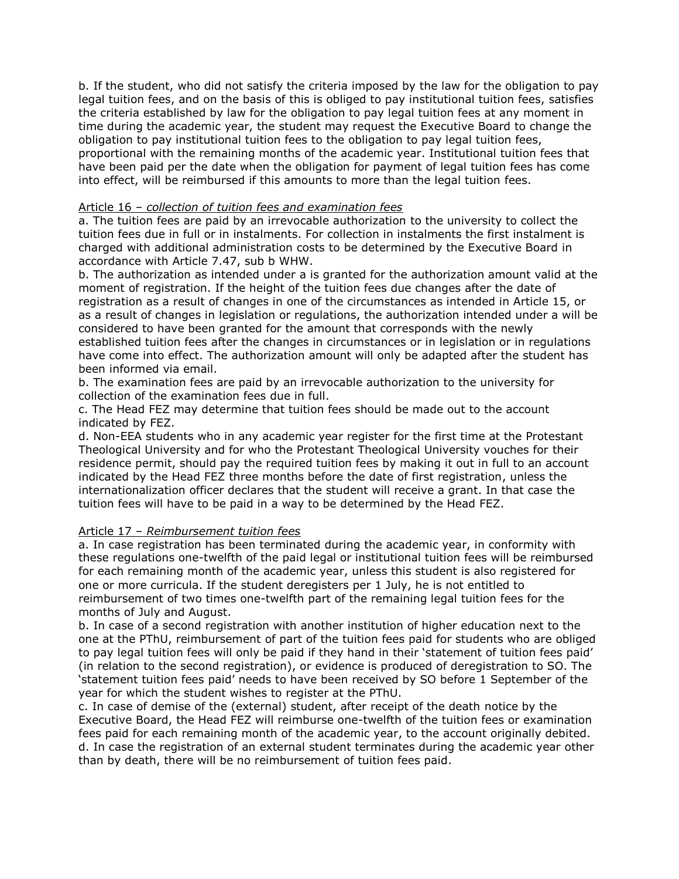b. If the student, who did not satisfy the criteria imposed by the law for the obligation to pay legal tuition fees, and on the basis of this is obliged to pay institutional tuition fees, satisfies the criteria established by law for the obligation to pay legal tuition fees at any moment in time during the academic year, the student may request the Executive Board to change the obligation to pay institutional tuition fees to the obligation to pay legal tuition fees, proportional with the remaining months of the academic year. Institutional tuition fees that have been paid per the date when the obligation for payment of legal tuition fees has come into effect, will be reimbursed if this amounts to more than the legal tuition fees.

#### Article 16 – *collection of tuition fees and examination fees*

a. The tuition fees are paid by an irrevocable authorization to the university to collect the tuition fees due in full or in instalments. For collection in instalments the first instalment is charged with additional administration costs to be determined by the Executive Board in accordance with Article 7.47, sub b WHW.

b. The authorization as intended under a is granted for the authorization amount valid at the moment of registration. If the height of the tuition fees due changes after the date of registration as a result of changes in one of the circumstances as intended in Article 15, or as a result of changes in legislation or regulations, the authorization intended under a will be considered to have been granted for the amount that corresponds with the newly established tuition fees after the changes in circumstances or in legislation or in regulations have come into effect. The authorization amount will only be adapted after the student has been informed via email.

b. The examination fees are paid by an irrevocable authorization to the university for collection of the examination fees due in full.

c. The Head FEZ may determine that tuition fees should be made out to the account indicated by FEZ.

d. Non-EEA students who in any academic year register for the first time at the Protestant Theological University and for who the Protestant Theological University vouches for their residence permit, should pay the required tuition fees by making it out in full to an account indicated by the Head FEZ three months before the date of first registration, unless the internationalization officer declares that the student will receive a grant. In that case the tuition fees will have to be paid in a way to be determined by the Head FEZ.

#### Article 17 – *Reimbursement tuition fees*

a. In case registration has been terminated during the academic year, in conformity with these regulations one-twelfth of the paid legal or institutional tuition fees will be reimbursed for each remaining month of the academic year, unless this student is also registered for one or more curricula. If the student deregisters per 1 July, he is not entitled to reimbursement of two times one-twelfth part of the remaining legal tuition fees for the months of July and August.

b. In case of a second registration with another institution of higher education next to the one at the PThU, reimbursement of part of the tuition fees paid for students who are obliged to pay legal tuition fees will only be paid if they hand in their 'statement of tuition fees paid' (in relation to the second registration), or evidence is produced of deregistration to SO. The 'statement tuition fees paid' needs to have been received by SO before 1 September of the year for which the student wishes to register at the PThU.

c. In case of demise of the (external) student, after receipt of the death notice by the Executive Board, the Head FEZ will reimburse one-twelfth of the tuition fees or examination fees paid for each remaining month of the academic year, to the account originally debited. d. In case the registration of an external student terminates during the academic year other than by death, there will be no reimbursement of tuition fees paid.